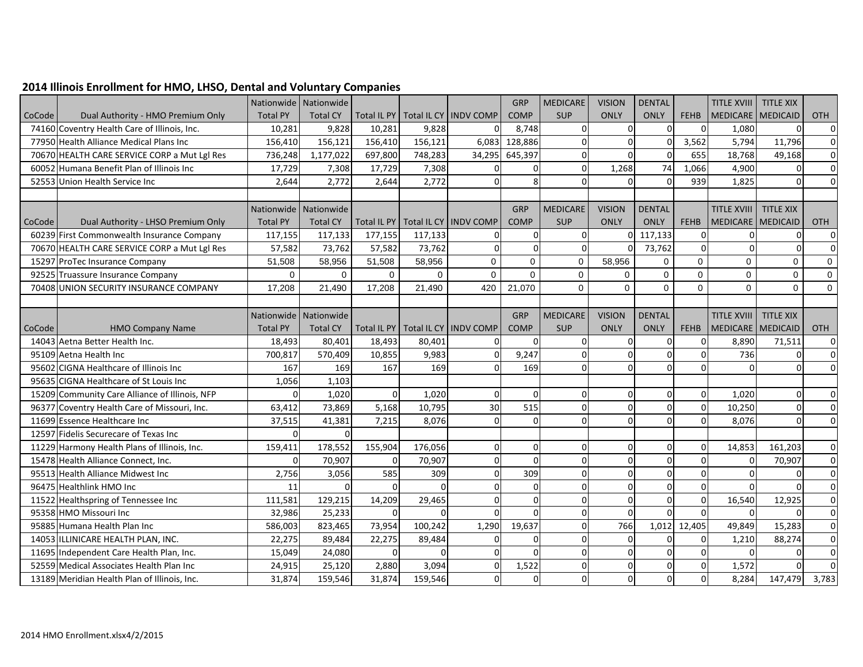| 2014 Illinois Enrollment for HMO, LHSO, Dental and Voluntary Companies |  |
|------------------------------------------------------------------------|--|
|------------------------------------------------------------------------|--|

|        |                                                | Nationwide      | Nationwide              |                    |                |                                       | GRP         | <b>MEDICARE</b> | <b>VISION</b> | <b>DENTAL</b> |              | <b>TITLE XVIII</b> | <b>TITLE XIX</b> |                |
|--------|------------------------------------------------|-----------------|-------------------------|--------------------|----------------|---------------------------------------|-------------|-----------------|---------------|---------------|--------------|--------------------|------------------|----------------|
| CoCode | Dual Authority - HMO Premium Only              | <b>Total PY</b> | <b>Total CY</b>         |                    |                | Total IL PY   Total IL CY   INDV COMP | <b>COMP</b> | <b>SUP</b>      | <b>ONLY</b>   | <b>ONLY</b>   | FEHB         | <b>MEDICARE</b>    | <b>MEDICAID</b>  | <b>OTH</b>     |
|        | 74160 Coventry Health Care of Illinois, Inc.   | 10,281          | 9,828                   | 10,281             | 9.828          | $\Omega$                              | 8.748       | $\Omega$        | $\Omega$      | $\Omega$      | $\Omega$     | 1,080              | $\Omega$         | $\overline{0}$ |
|        | 77950 Health Alliance Medical Plans Inc        | 156,410         | 156,121                 | 156,410            | 156,121        | 6,083                                 | 128,886     | $\Omega$        | $\mathbf 0$   | $\Omega$      | 3,562        | 5,794              | 11,796           | $\overline{0}$ |
|        | 70670 HEALTH CARE SERVICE CORP a Mut Lgl Res   | 736,248         | 1,177,022               | 697,800            | 748,283        | 34,295                                | 645,397     | $\Omega$        | $\Omega$      | $\Omega$      | 655          | 18,768             | 49,168           | $\overline{0}$ |
|        | 60052 Humana Benefit Plan of Illinois Inc      | 17,729          | 7,308                   | 17,729             | 7,308          | $\Omega$                              | 0           | $\Omega$        | 1,268         | 74            | 1,066        | 4,900              | $\Omega$         | $\overline{0}$ |
|        | 52553 Union Health Service Inc                 | 2,644           | 2,772                   | 2,644              | 2,772          | $\Omega$                              | 8           | $\Omega$        | $\Omega$      | $\Omega$      | 939          | 1,825              | $\Omega$         | $\overline{0}$ |
|        |                                                |                 |                         |                    |                |                                       |             |                 |               |               |              |                    |                  |                |
|        |                                                | Nationwide      | Nationwide              |                    |                |                                       | GRP         | <b>MEDICARE</b> | <b>VISION</b> | <b>DENTAL</b> |              | <b>TITLE XVIII</b> | <b>TITLE XIX</b> |                |
| CoCode | Dual Authority - LHSO Premium Only             | <b>Total PY</b> | <b>Total CY</b>         | <b>Total IL PY</b> |                | Total IL CY   INDV COMP               | <b>COMP</b> | <b>SUP</b>      | ONLY          | ONLY          | FEHB         | <b>MEDICARE</b>    | <b>MEDICAID</b>  | OTH            |
|        | 60239 First Commonwealth Insurance Company     | 117,155         | 117,133                 | 177,155            | 117,133        | $\Omega$                              | $\Omega$    | $\Omega$        | $\Omega$      | 117,133       | $\mathbf 0$  | $\Omega$           | $\Omega$         | $\overline{0}$ |
|        | 70670 HEALTH CARE SERVICE CORP a Mut Lgl Res   | 57,582          | 73,762                  | 57,582             | 73,762         | $\Omega$                              | $\Omega$    | $\Omega$        | $\Omega$      | 73,762        | $\mathbf{0}$ | $\Omega$           | $\Omega$         | $\mathbf{0}$   |
|        | 15297 ProTec Insurance Company                 | 51,508          | 58,956                  | 51,508             | 58,956         | $\mathbf 0$                           | $\mathbf 0$ | $\mathbf 0$     | 58,956        | $\mathbf 0$   | 0            | $\mathbf 0$        | $\Omega$         | $\mathbf 0$    |
|        | 92525 Truassure Insurance Company              | $\Omega$        | $\mathbf 0$             | $\mathbf 0$        | $\mathbf 0$    | $\mathbf 0$                           | $\Omega$    | $\Omega$        | $\mathbf{0}$  | $\mathbf 0$   | $\mathbf 0$  | $\mathbf 0$        | $\Omega$         | $\mathbf 0$    |
|        | 70408 UNION SECURITY INSURANCE COMPANY         | 17,208          | 21,490                  | 17,208             | 21,490         | 420                                   | 21,070      | $\Omega$        | $\Omega$      | $\Omega$      | $\Omega$     | $\Omega$           | $\Omega$         | $\mathbf 0$    |
|        |                                                |                 |                         |                    |                |                                       |             |                 |               |               |              |                    |                  |                |
|        |                                                |                 | Nationwide   Nationwide |                    |                |                                       | GRP         | <b>MEDICARE</b> | <b>VISION</b> | <b>DENTAL</b> |              | <b>TITLE XVIII</b> | <b>TITLE XIX</b> |                |
| CoCode | <b>HMO Company Name</b>                        | <b>Total PY</b> | <b>Total CY</b>         |                    |                | Total IL PY   Total IL CY   INDV COMP | <b>COMP</b> | <b>SUP</b>      | <b>ONLY</b>   | <b>ONLY</b>   | FEHB         | <b>MEDICARE</b>    | <b>MEDICAID</b>  | <b>OTH</b>     |
|        | 14043 Aetna Better Health Inc.                 | 18,493          | 80,401                  | 18,493             | 80,401         | $\Omega$                              | $\Omega$    | $\overline{0}$  | $\mathbf 0$   | $\Omega$      | $\Omega$     | 8,890              | 71,511           | $\overline{0}$ |
|        | 95109 Aetna Health Inc                         | 700,817         | 570,409                 | 10,855             | 9,983          | $\Omega$                              | 9,247       | $\overline{0}$  | $\mathbf 0$   | $\Omega$      | $\Omega$     | 736                | $\Omega$         | $\overline{0}$ |
|        | 95602 CIGNA Healthcare of Illinois Inc         | 167             | 169                     | 167                | 169            | $\Omega$                              | 169         | $\Omega$        | $\Omega$      | $\Omega$      | $\Omega$     | $\Omega$           | $\Omega$         | $\overline{0}$ |
|        | 95635 CIGNA Healthcare of St Louis Inc         | 1,056           | 1,103                   |                    |                |                                       |             |                 |               |               |              |                    |                  |                |
|        | 15209 Community Care Alliance of Illinois, NFP | $\overline{0}$  | 1,020                   | $\Omega$           | 1,020          | $\mathbf 0$                           | 0           | $\overline{0}$  | $\Omega$      | $\Omega$      | $\Omega$     | 1,020              | $\Omega$         | $\overline{0}$ |
|        | 96377 Coventry Health Care of Missouri, Inc.   | 63,412          | 73,869                  | 5,168              | 10,795         | 30                                    | 515         | $\Omega$        | $\Omega$      | $\Omega$      | $\Omega$     | 10,250             | $\Omega$         | $\overline{0}$ |
|        | 11699 Essence Healthcare Inc                   | 37,515          | 41,381                  | 7,215              | 8,076          | $\mathbf 0$                           | 0           | $\Omega$        | $\Omega$      | $\Omega$      | $\Omega$     | 8,076              | $\Omega$         | $\overline{0}$ |
|        | 12597 Fidelis Securecare of Texas Inc          | $\overline{0}$  | $\Omega$                |                    |                |                                       |             |                 |               |               |              |                    |                  |                |
|        | 11229 Harmony Health Plans of Illinois, Inc.   | 159,411         | 178,552                 | 155,904            | 176,056        | $\Omega$                              | 0           | $\Omega$        | $\Omega$      | $\Omega$      | $\Omega$     | 14,853             | 161,203          | $\overline{0}$ |
|        | 15478 Health Alliance Connect, Inc.            | $\overline{0}$  | 70,907                  | $\mathbf 0$        | 70,907         | $\mathbf 0$                           | 0           | $\overline{0}$  | $\mathbf 0$   | $\Omega$      | $\Omega$     | $\Omega$           | 70,907           | $\overline{0}$ |
|        | 95513 Health Alliance Midwest Inc              | 2,756           | 3,056                   | 585                | 309            | $\Omega$                              | 309         | $\Omega$        | $\mathbf 0$   | $\Omega$      | $\Omega$     | $\Omega$           | $\Omega$         | $\overline{0}$ |
|        | 96475 Healthlink HMO Inc                       | 11              | $\Omega$                | $\Omega$           | $\Omega$       | $\Omega$                              | $\Omega$    | $\Omega$        | $\Omega$      | $\Omega$      | $\Omega$     | $\Omega$           | $\Omega$         | $\overline{0}$ |
|        | 11522 Healthspring of Tennessee Inc            | 111,581         | 129,215                 | 14,209             | 29,465         | $\Omega$                              | $\Omega$    | $\Omega$        | $\Omega$      | $\Omega$      | $\Omega$     | 16,540             | 12,925           | $\overline{0}$ |
|        | 95358 HMO Missouri Inc                         | 32,986          | 25,233                  | $\Omega$           | $\overline{0}$ | $\Omega$                              | $\mathbf 0$ | $\Omega$        | $\Omega$      | $\Omega$      | $\Omega$     | $\Omega$           | $\Omega$         | $\overline{0}$ |
|        | 95885 Humana Health Plan Inc                   | 586,003         | 823,465                 | 73,954             | 100,242        | 1,290                                 | 19,637      | $\Omega$        | 766           |               | 1,012 12,405 | 49,849             | 15,283           | $\overline{0}$ |
|        | 14053 ILLINICARE HEALTH PLAN, INC.             | 22,275          | 89,484                  | 22,275             | 89,484         | $\Omega$                              | 0           | $\Omega$        | $\Omega$      | $\Omega$      | $\Omega$     | 1,210              | 88,274           | $\overline{0}$ |
|        | 11695 Independent Care Health Plan, Inc.       | 15,049          | 24,080                  | $\mathbf 0$        | $\overline{0}$ | $\Omega$                              | $\mathbf 0$ | $\overline{0}$  | $\mathbf 0$   | $\Omega$      | $\Omega$     | $\Omega$           | $\Omega$         | $\overline{0}$ |
|        | 52559 Medical Associates Health Plan Inc       | 24,915          | 25,120                  | 2,880              | 3,094          | $\Omega$                              | 1,522       | $\Omega$        | $\Omega$      | $\Omega$      | $\Omega$     | 1,572              | $\Omega$         | $\Omega$       |
|        | 13189 Meridian Health Plan of Illinois, Inc.   | 31,874          | 159,546                 | 31,874             | 159,546        | $\Omega$                              | $\Omega$    | $\Omega$        | $\Omega$      | $\Omega$      | $\Omega$     | 8,284              | 147,479          | 3,783          |